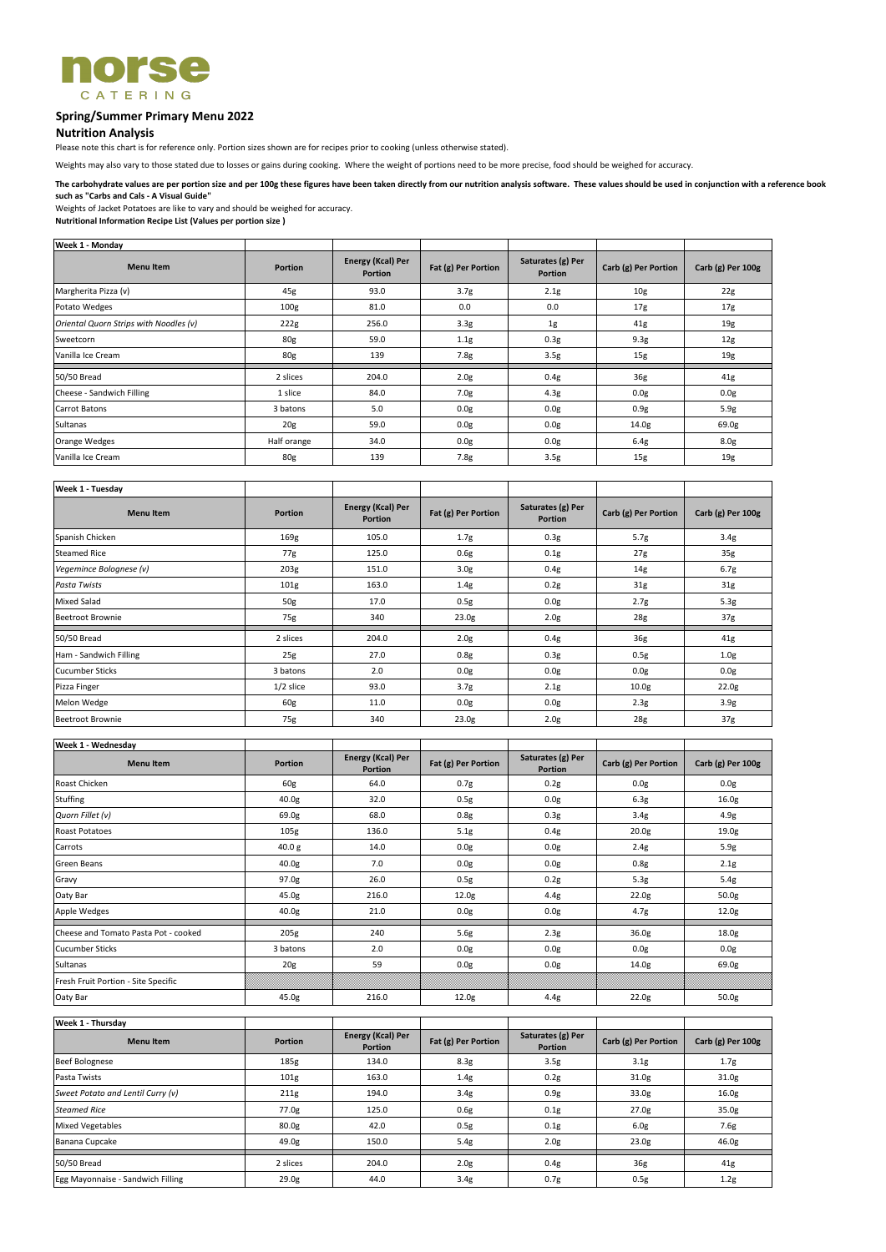

# **Spring/Summer Primary Menu 2022**

## **Nutrition Analysis**

Please note this chart is for reference only. Portion sizes shown are for recipes prior to cooking (unless otherwise stated).

Weights of Jacket Potatoes are like to vary and should be weighed for accuracy.

**Nutritional Information Recipe List (Values per portion size )**

| <b>Week 1 - Monday</b>                 |                  |                                     |                     |                                     |                      |                   |
|----------------------------------------|------------------|-------------------------------------|---------------------|-------------------------------------|----------------------|-------------------|
| <b>Menu Item</b>                       | <b>Portion</b>   | Energy (Kcal) Per<br><b>Portion</b> | Fat (g) Per Portion | Saturates (g) Per<br><b>Portion</b> | Carb (g) Per Portion | Carb (g) Per 100g |
| Margherita Pizza (v)                   | 45g              | 93.0                                | 3.7 <sub>g</sub>    | 2.1g                                | 10 <sub>g</sub>      | 22g               |
| Potato Wedges                          | 100 <sub>g</sub> | 81.0                                | 0.0                 | 0.0                                 | 17g                  | 17g               |
| Oriental Quorn Strips with Noodles (v) | 222g             | 256.0                               | 3.3 <sub>g</sub>    | 1g                                  | 41g                  | 19g               |
| Sweetcorn                              | 80g              | 59.0                                | 1.1g                | 0.3g                                | 9.3 <sub>g</sub>     | 12 <sub>g</sub>   |
| Vanilla Ice Cream                      | 80g              | 139                                 | 7.8g                | 3.5 <sub>g</sub>                    | 15g                  | 19g               |
| 50/50 Bread                            | 2 slices         | 204.0                               | 2.0 <sub>g</sub>    | 0.4g                                | 36g                  | 41g               |
| Cheese - Sandwich Filling              | 1 slice          | 84.0                                | 7.0 <sub>g</sub>    | 4.3g                                | 0.0 <sub>g</sub>     | 0.0g              |
| <b>Carrot Batons</b>                   | 3 batons         | 5.0                                 | 0.0 <sub>g</sub>    | 0.0 <sub>g</sub>                    | 0.9g                 | 5.9g              |
| Sultanas                               | 20g              | 59.0                                | 0.0g                | 0.0g                                | 14.0 <sub>g</sub>    | 69.0g             |
| Orange Wedges                          | Half orange      | 34.0                                | 0.0g                | 0.0 <sub>g</sub>                    | 6.4g                 | 8.0 <sub>g</sub>  |
| Vanilla Ice Cream                      | 80g              | 139                                 | 7.8g                | 3.5g                                | 15g                  | 19g               |

| <b>Week 1 - Tuesday</b> |                |                                            |                     |                                     |                      |                   |
|-------------------------|----------------|--------------------------------------------|---------------------|-------------------------------------|----------------------|-------------------|
| <b>Menu Item</b>        | <b>Portion</b> | <b>Energy (Kcal) Per</b><br><b>Portion</b> | Fat (g) Per Portion | Saturates (g) Per<br><b>Portion</b> | Carb (g) Per Portion | Carb (g) Per 100g |
| Spanish Chicken         | 169g           | 105.0                                      | 1.7 <sub>g</sub>    | 0.3 <sub>g</sub>                    | 5.7g                 | 3.4 <sub>g</sub>  |
| <b>Steamed Rice</b>     | 77g            | 125.0                                      | 0.6g                | 0.1g                                | 27g                  | 35g               |
| Vegemince Bolognese (v) | 203g           | 151.0                                      | 3.0 <sub>g</sub>    | 0.4g                                | 14g                  | 6.7g              |
| Pasta Twists            | 101g           | 163.0                                      | 1.4g                | 0.2g                                | 31g                  | 31g               |
| <b>Mixed Salad</b>      | 50g            | 17.0                                       | 0.5g                | 0.0 <sub>g</sub>                    | 2.7g                 | 5.3g              |
| <b>Beetroot Brownie</b> | 75g            | 340                                        | 23.0 <sub>g</sub>   | 2.0 <sub>g</sub>                    | 28g                  | 37g               |
| 50/50 Bread             | 2 slices       | 204.0                                      | 2.0 <sub>g</sub>    | 0.4g                                | 36g                  | 41g               |
| Ham - Sandwich Filling  | 25g            | 27.0                                       | 0.8g                | 0.3 <sub>g</sub>                    | 0.5g                 | 1.0 <sub>g</sub>  |
| <b>Cucumber Sticks</b>  | 3 batons       | 2.0                                        | 0.0 <sub>g</sub>    | 0.0 <sub>g</sub>                    | 0.0 <sub>g</sub>     | 0.0g              |
| Pizza Finger            | $1/2$ slice    | 93.0                                       | 3.7 <sub>g</sub>    | 2.1g                                | 10.0 <sub>g</sub>    | 22.0 <sub>g</sub> |
| Melon Wedge             | 60g            | 11.0                                       | 0.0 <sub>g</sub>    | 0.0 <sub>g</sub>                    | 2.3g                 | 3.9 <sub>g</sub>  |
| <b>Beetroot Brownie</b> | 75g            | 340                                        | 23.0g               | 2.0g                                | 28g                  | 37g               |

| Week 1 - Wednesday                   |                   |                                     |                     |                                     |                      |                   |
|--------------------------------------|-------------------|-------------------------------------|---------------------|-------------------------------------|----------------------|-------------------|
| <b>Menu Item</b>                     | <b>Portion</b>    | Energy (Kcal) Per<br><b>Portion</b> | Fat (g) Per Portion | Saturates (g) Per<br><b>Portion</b> | Carb (g) Per Portion | Carb (g) Per 100g |
| Roast Chicken                        | 60g               | 64.0                                | 0.7g                | 0.2g                                | 0.0g                 | 0.0g              |
| <b>Stuffing</b>                      | 40.0 <sub>g</sub> | 32.0                                | 0.5g                | 0.0g                                | 6.3 <sub>g</sub>     | 16.0 <sub>g</sub> |
| Quorn Fillet (v)                     | 69.0g             | 68.0                                | 0.8g                | 0.3g                                | 3.4g                 | 4.9g              |
| <b>Roast Potatoes</b>                | 105g              | 136.0                               | 5.1g                | 0.4g                                | 20.0 <sub>g</sub>    | 19.0g             |
| Carrots                              | 40.0 g            | 14.0                                | 0.0 <sub>g</sub>    | 0.0g                                | 2.4g                 | 5.9g              |
| Green Beans                          | 40.0 <sub>g</sub> | 7.0                                 | 0.0 <sub>g</sub>    | 0.0g                                | 0.8g                 | 2.1g              |
| Gravy                                | 97.0g             | 26.0                                | 0.5g                | 0.2g                                | 5.3g                 | 5.4g              |
| Oaty Bar                             | 45.0g             | 216.0                               | 12.0 <sub>g</sub>   | 4.4g                                | 22.0 <sub>g</sub>    | 50.0 <sub>g</sub> |
| Apple Wedges                         | 40.0 <sub>g</sub> | 21.0                                | 0.0g                | 0.0g                                | 4.7g                 | 12.0 <sub>g</sub> |
| Cheese and Tomato Pasta Pot - cooked | 205g              | 240                                 | 5.6g                | 2.3g                                | 36.0g                | 18.0g             |
| <b>Cucumber Sticks</b>               | 3 batons          | 2.0                                 | 0.0g                | 0.0g                                | 0.0 <sub>g</sub>     | 0.0g              |
| Sultanas                             | 20 <sub>g</sub>   | 59                                  | 0.0g                | 0.0g                                | 14.0 <sub>g</sub>    | 69.0g             |
| Fresh Fruit Portion - Site Specific  |                   |                                     |                     |                                     |                      |                   |
| Oaty Bar                             | 45.0g             | 216.0                               | 12.0g               | 4.4g                                | 22.0 <sub>g</sub>    | 50.0g             |

| <b>Week 1 - Thursday</b>          |                  |                                            |                     |                                     |                      |                   |
|-----------------------------------|------------------|--------------------------------------------|---------------------|-------------------------------------|----------------------|-------------------|
| <b>Menu Item</b>                  | <b>Portion</b>   | <b>Energy (Kcal) Per</b><br><b>Portion</b> | Fat (g) Per Portion | Saturates (g) Per<br><b>Portion</b> | Carb (g) Per Portion | Carb (g) Per 100g |
| <b>Beef Bolognese</b>             | 185g             | 134.0                                      | 8.3g                | 3.5 <sub>g</sub>                    | 3.1 <sub>g</sub>     | 1.7 <sub>g</sub>  |
| Pasta Twists                      | 101 <sub>g</sub> | 163.0                                      | 1.4g                | 0.2g                                | 31.0 <sub>g</sub>    | 31.0g             |
| Sweet Potato and Lentil Curry (v) | 211g             | 194.0                                      | 3.4g                | 0.9g                                | 33.0g                | 16.0 <sub>g</sub> |
| <b>Steamed Rice</b>               | 77.0g            | 125.0                                      | 0.6g                | 0.1g                                | 27.0 <sub>g</sub>    | 35.0 <sub>g</sub> |
| <b>Mixed Vegetables</b>           | 80.0g            | 42.0                                       | 0.5g                | 0.1g                                | 6.0 <sub>g</sub>     | 7.6g              |
| Banana Cupcake                    | 49.0g            | 150.0                                      | 5.4g                | 2.0 <sub>g</sub>                    | 23.0 <sub>g</sub>    | 46.0 <sub>g</sub> |
| 50/50 Bread                       | 2 slices         | 204.0                                      | 2.0 <sub>g</sub>    | 0.4g                                | 36g                  | 41g               |
| Egg Mayonnaise - Sandwich Filling | 29.0g            | 44.0                                       | 3.4 <sub>g</sub>    | 0.7g                                | 0.5g                 | 1.2g              |

**The carbohydrate values are per portion size and per 100g these figures have been taken directly from our nutrition analysis software. These values should be used in conjunction with a reference book such as "Carbs and Cals - A Visual Guide"**

Weights may also vary to those stated due to losses or gains during cooking. Where the weight of portions need to be more precise, food should be weighed for accuracy.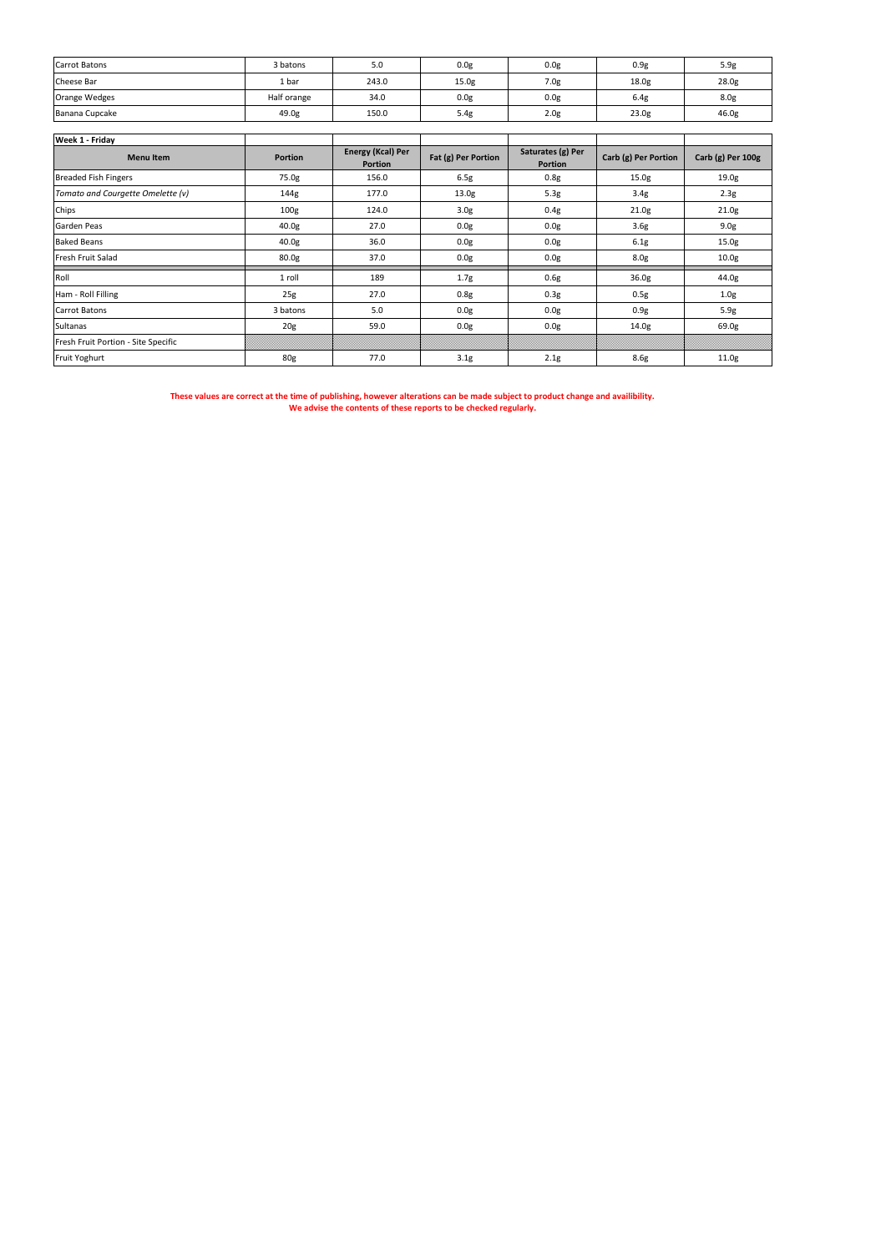| Carrot Batons  | 3 batons    | 5.0   | 0.0 <sub>g</sub>  | 0.0 <sub>g</sub> | 0.9 <sub>g</sub>  | 5.9g             |
|----------------|-------------|-------|-------------------|------------------|-------------------|------------------|
| Cheese Bar     | 1 bar       | 243.0 | 15.0 <sub>g</sub> | 7.0 <sub>g</sub> | 18.0 <sub>g</sub> | 28.0g            |
| Orange Wedges  | Half orange | 34.0  | 0.0 <sub>g</sub>  | 0.0 <sub>g</sub> | 6.4g              | 8.0 <sub>g</sub> |
| Banana Cupcake | 49.0g       | 150.0 | 5.4g              | 2.0 <sub>g</sub> | 23.0g             | 46.0g            |

| Week 1 - Friday                     |                   |                                     |                     |                                     |                      |                   |
|-------------------------------------|-------------------|-------------------------------------|---------------------|-------------------------------------|----------------------|-------------------|
| <b>Menu Item</b>                    | Portion           | Energy (Kcal) Per<br><b>Portion</b> | Fat (g) Per Portion | Saturates (g) Per<br><b>Portion</b> | Carb (g) Per Portion | Carb (g) Per 100g |
| <b>Breaded Fish Fingers</b>         | 75.0g             | 156.0                               | 6.5g                | 0.8g                                | 15.0g                | 19.0 <sub>g</sub> |
| Tomato and Courgette Omelette (v)   | 144g              | 177.0                               | 13.0 <sub>g</sub>   | 5.3g                                | 3.4 <sub>g</sub>     | 2.3g              |
| Chips                               | 100 <sub>g</sub>  | 124.0                               | 3.0 <sub>g</sub>    | 0.4g                                | 21.0g                | 21.0g             |
| Garden Peas                         | 40.0g             | 27.0                                | 0.0g                | 0.0 <sub>g</sub>                    | 3.6g                 | 9.0 <sub>g</sub>  |
| <b>Baked Beans</b>                  | 40.0g             | 36.0                                | 0.0g                | 0.0 <sub>g</sub>                    | 6.1g                 | 15.0g             |
| Fresh Fruit Salad                   | 80.0 <sub>g</sub> | 37.0                                | 0.0g                | 0.0 <sub>g</sub>                    | 8.0 <sub>g</sub>     | 10.0 <sub>g</sub> |
| Roll                                | 1 roll            | 189                                 | 1.7g                | 0.6g                                | 36.0g                | 44.0g             |
| Ham - Roll Filling                  | 25g               | 27.0                                | 0.8g                | 0.3 <sub>g</sub>                    | 0.5g                 | 1.0 <sub>g</sub>  |
| <b>Carrot Batons</b>                | 3 batons          | 5.0                                 | 0.0g                | 0.0g                                | 0.9g                 | 5.9g              |
| Sultanas                            | 20 <sub>g</sub>   | 59.0                                | 0.0g                | 0.0g                                | 14.0g                | 69.0g             |
| Fresh Fruit Portion - Site Specific |                   |                                     |                     |                                     |                      |                   |
| Fruit Yoghurt                       | 80g               | 77.0                                | 3.1 <sub>g</sub>    | 2.1g                                | 8.6g                 | 11.0g             |

**These values are correct at the time of publishing, however alterations can be made subject to product change and availibility. We advise the contents of these reports to be checked regularly.**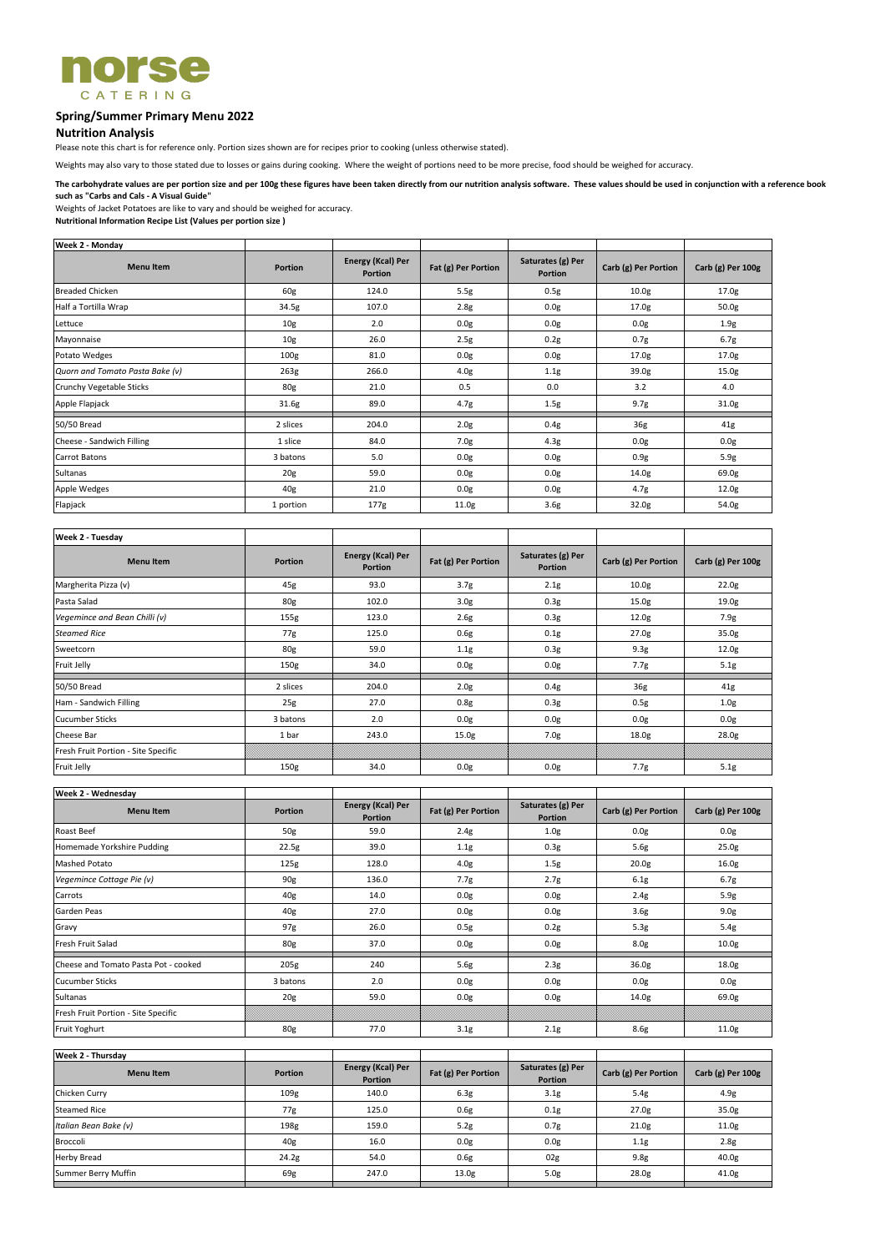

# **Spring/Summer Primary Menu 2022**

## **Nutrition Analysis**

Please note this chart is for reference only. Portion sizes shown are for recipes prior to cooking (unless otherwise stated).

Weights of Jacket Potatoes are like to vary and should be weighed for accuracy.

**Nutritional Information Recipe List (Values per portion size )**

| <b>Week 2 - Monday</b>          |                  |                                            |                     |                                     |                      |                   |
|---------------------------------|------------------|--------------------------------------------|---------------------|-------------------------------------|----------------------|-------------------|
| <b>Menu Item</b>                | <b>Portion</b>   | <b>Energy (Kcal) Per</b><br><b>Portion</b> | Fat (g) Per Portion | Saturates (g) Per<br><b>Portion</b> | Carb (g) Per Portion | Carb (g) Per 100g |
| <b>Breaded Chicken</b>          | 60g              | 124.0                                      | 5.5g                | 0.5g                                | 10.0 <sub>g</sub>    | 17.0 <sub>g</sub> |
| Half a Tortilla Wrap            | 34.5g            | 107.0                                      | 2.8g                | 0.0g                                | 17.0g                | 50.0g             |
| Lettuce                         | 10g              | 2.0                                        | 0.0g                | 0.0g                                | 0.0g                 | 1.9g              |
| Mayonnaise                      | 10g              | 26.0                                       | 2.5g                | 0.2g                                | 0.7g                 | 6.7g              |
| Potato Wedges                   | 100 <sub>g</sub> | 81.0                                       | 0.0g                | 0.0g                                | 17.0g                | 17.0g             |
| Quorn and Tomato Pasta Bake (v) | 263g             | 266.0                                      | 4.0 <sub>g</sub>    | 1.1g                                | 39.0g                | 15.0g             |
| Crunchy Vegetable Sticks        | 80g              | 21.0                                       | 0.5                 | 0.0                                 | 3.2                  | 4.0               |
| Apple Flapjack                  | 31.6g            | 89.0                                       | 4.7g                | 1.5g                                | 9.7g                 | 31.0g             |
| 50/50 Bread                     | 2 slices         | 204.0                                      | 2.0 <sub>g</sub>    | 0.4g                                | 36g                  | 41g               |
| Cheese - Sandwich Filling       | 1 slice          | 84.0                                       | 7.0g                | 4.3g                                | 0.0g                 | 0.0g              |
| <b>Carrot Batons</b>            | 3 batons         | 5.0                                        | 0.0g                | 0.0g                                | 0.9g                 | 5.9g              |
| Sultanas                        | 20g              | 59.0                                       | 0.0 <sub>g</sub>    | 0.0 <sub>g</sub>                    | 14.0g                | 69.0g             |
| Apple Wedges                    | 40 <sub>g</sub>  | 21.0                                       | 0.0g                | 0.0 <sub>g</sub>                    | 4.7 <sub>g</sub>     | 12.0g             |
| Flapjack                        | 1 portion        | 177g                                       | 11.0g               | 3.6 <sub>g</sub>                    | 32.0g                | 54.0g             |

| Week 2 - Tuesday                    |                |                                            |                     |                                     |                      |                     |
|-------------------------------------|----------------|--------------------------------------------|---------------------|-------------------------------------|----------------------|---------------------|
| <b>Menu Item</b>                    | <b>Portion</b> | <b>Energy (Kcal) Per</b><br><b>Portion</b> | Fat (g) Per Portion | Saturates (g) Per<br><b>Portion</b> | Carb (g) Per Portion | Carb $(g)$ Per 100g |
| Margherita Pizza (v)                | 45g            | 93.0                                       | 3.7 <sub>g</sub>    | 2.1g                                | 10.0 <sub>g</sub>    | 22.0g               |
| Pasta Salad                         | 80g            | 102.0                                      | 3.0 <sub>g</sub>    | 0.3g                                | 15.0 <sub>g</sub>    | 19.0 <sub>g</sub>   |
| Vegemince and Bean Chilli (v)       | 155g           | 123.0                                      | 2.6g                | 0.3g                                | 12.0g                | 7.9g                |
| <b>Steamed Rice</b>                 | 77g            | 125.0                                      | 0.6g                | 0.1g                                | 27.0g                | 35.0g               |
| Sweetcorn                           | 80g            | 59.0                                       | 1.1g                | 0.3g                                | 9.3g                 | 12.0g               |
| Fruit Jelly                         | 150g           | 34.0                                       | 0.0g                | 0.0g                                | 7.7g                 | 5.1g                |
| 50/50 Bread                         | 2 slices       | 204.0                                      | 2.0 <sub>g</sub>    | 0.4g                                | 36g                  | 41g                 |
| Ham - Sandwich Filling              | 25g            | 27.0                                       | 0.8g                | 0.3g                                | 0.5g                 | 1.0 <sub>g</sub>    |
| <b>Cucumber Sticks</b>              | 3 batons       | 2.0                                        | 0.0g                | 0.0g                                | 0.0g                 | 0.0g                |
| Cheese Bar                          | 1 bar          | 243.0                                      | 15.0 <sub>g</sub>   | 7.0g                                | 18.0 <sub>g</sub>    | 28.0g               |
| Fresh Fruit Portion - Site Specific |                |                                            |                     |                                     |                      |                     |
| Fruit Jelly                         | 150g           | 34.0                                       | 0.0g                | 0.0g                                | 7.7g                 | 5.1g                |

| Week 2 - Wednesday                   |                 |                                     |                     |                                     |                      |                   |
|--------------------------------------|-----------------|-------------------------------------|---------------------|-------------------------------------|----------------------|-------------------|
| <b>Menu Item</b>                     | <b>Portion</b>  | Energy (Kcal) Per<br><b>Portion</b> | Fat (g) Per Portion | Saturates (g) Per<br><b>Portion</b> | Carb (g) Per Portion | Carb (g) Per 100g |
| Roast Beef                           | 50g             | 59.0                                | 2.4g                | 1.0 <sub>g</sub>                    | 0.0g                 | 0.0g              |
| Homemade Yorkshire Pudding           | 22.5g           | 39.0                                | 1.1g                | 0.3g                                | 5.6g                 | 25.0g             |
| Mashed Potato                        | 125g            | 128.0                               | 4.0 <sub>g</sub>    | 1.5g                                | 20.0 <sub>g</sub>    | 16.0 <sub>g</sub> |
| Vegemince Cottage Pie (v)            | 90g             | 136.0                               | 7.7 <sub>g</sub>    | 2.7g                                | 6.1g                 | 6.7g              |
| Carrots                              | 40 <sub>g</sub> | 14.0                                | 0.0g                | 0.0 <sub>g</sub>                    | 2.4g                 | 5.9g              |
| Garden Peas                          | 40 <sub>g</sub> | 27.0                                | 0.0g                | 0.0 <sub>g</sub>                    | 3.6 <sub>g</sub>     | 9.0 <sub>g</sub>  |
| Gravy                                | 97g             | 26.0                                | 0.5g                | 0.2g                                | 5.3 <sub>g</sub>     | 5.4g              |
| Fresh Fruit Salad                    | 80g             | 37.0                                | 0.0g                | 0.0 <sub>g</sub>                    | 8.0g                 | 10.0 <sub>g</sub> |
| Cheese and Tomato Pasta Pot - cooked | 205g            | 240                                 | 5.6g                | 2.3g                                | 36.0g                | 18.0 <sub>g</sub> |
| <b>Cucumber Sticks</b>               | 3 batons        | 2.0                                 | 0.0 <sub>g</sub>    | 0.0g                                | 0.0 <sub>g</sub>     | 0.0 <sub>g</sub>  |
| Sultanas                             | 20g             | 59.0                                | 0.0g                | 0.0 <sub>g</sub>                    | 14.0g                | 69.0g             |
| Fresh Fruit Portion - Site Specific  |                 |                                     |                     |                                     |                      |                   |
| Fruit Yoghurt                        | 80g             | 77.0                                | 3.1 <sub>g</sub>    | 2.1g                                | 8.6g                 | 11.0 <sub>g</sub> |

| <b>Portion</b>   | <b>Energy (Kcal) Per</b><br><b>Portion</b> | Fat (g) Per Portion | Saturates (g) Per<br><b>Portion</b> | Carb (g) Per Portion | Carb (g) Per 100g |
|------------------|--------------------------------------------|---------------------|-------------------------------------|----------------------|-------------------|
| 109 <sub>g</sub> | 140.0                                      | 6.3g                | 3.1 <sub>g</sub>                    | 5.4g                 | 4.9g              |
| 77g              | 125.0                                      | 0.6g                | 0.1g                                | 27.0 <sub>g</sub>    | 35.0g             |
| 198g             | 159.0                                      | 5.2g                | 0.7 <sub>g</sub>                    | 21.0 <sub>g</sub>    | 11.0g             |
| 40 <sub>g</sub>  | 16.0                                       | 0.0g                | 0.0 <sub>g</sub>                    | 1.1g                 | 2.8g              |
| 24.2g            | 54.0                                       | 0.6g                | 02g                                 | 9.8 <sub>g</sub>     | 40.0g             |
| 69g              | 247.0                                      | 13.0 <sub>g</sub>   | 5.0 <sub>g</sub>                    | 28.0g                | 41.0g             |
|                  |                                            |                     |                                     |                      |                   |

Weights may also vary to those stated due to losses or gains during cooking. Where the weight of portions need to be more precise, food should be weighed for accuracy.

**The carbohydrate values are per portion size and per 100g these figures have been taken directly from our nutrition analysis software. These values should be used in conjunction with a reference book such as "Carbs and Cals - A Visual Guide"**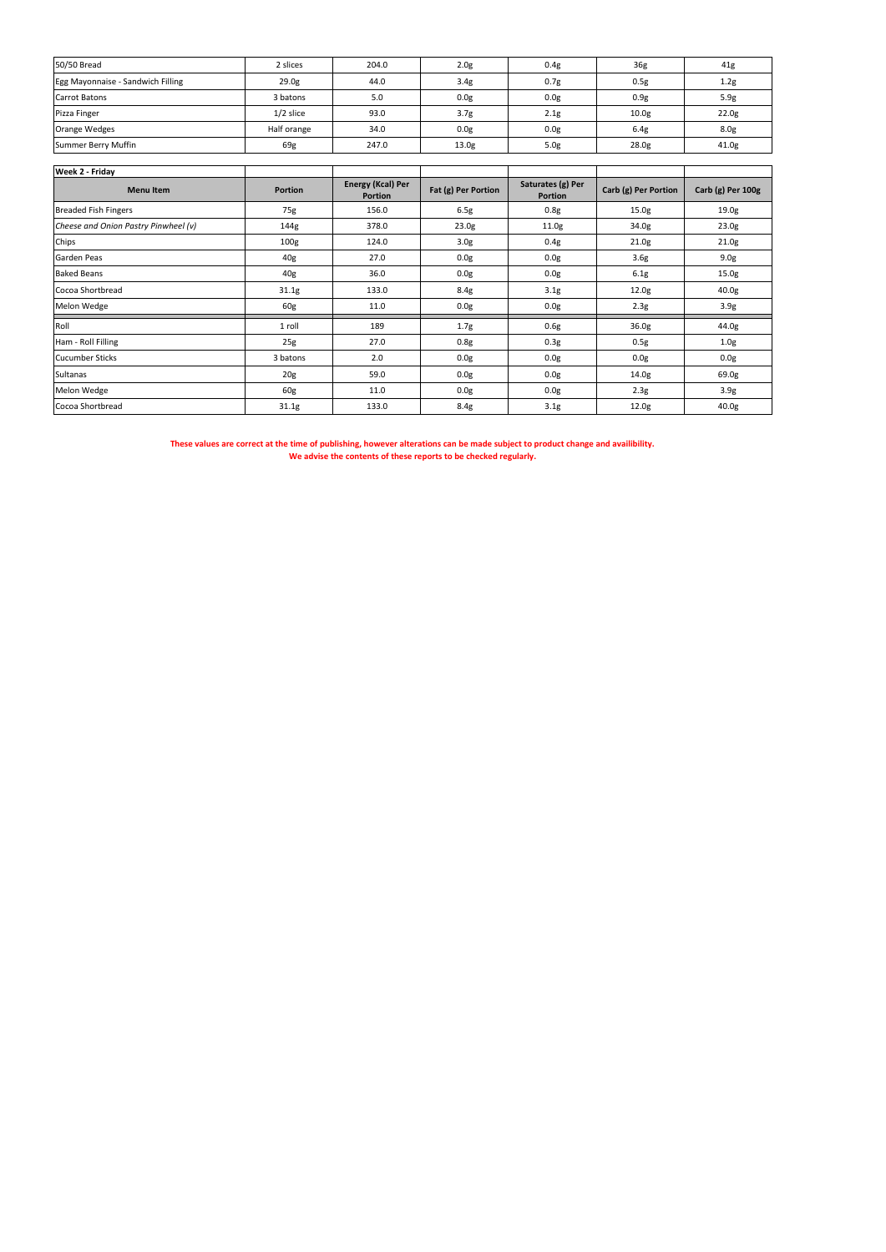| 50/50 Bread                       | 2 slices          | 204.0 | 2.0 <sub>g</sub>  | 0.4g             | 36g               | 41g               |
|-----------------------------------|-------------------|-------|-------------------|------------------|-------------------|-------------------|
| Egg Mayonnaise - Sandwich Filling | 29.0 <sub>g</sub> | 44.0  | 3.4g              | 0.7 <sub>g</sub> | 0.5g              | 1.2g              |
| Carrot Batons                     | 3 batons          | 5.0   | 0.0 <sub>g</sub>  | 0.0 <sub>g</sub> | 0.9g              | 5.9g              |
| Pizza Finger                      | $1/2$ slice       | 93.0  | 3.7 <sub>g</sub>  | 2.1 <sub>g</sub> | 10.0 <sub>g</sub> | 22.0 <sub>g</sub> |
| Orange Wedges                     | Half orange       | 34.0  | 0.0 <sub>g</sub>  | 0.0 <sub>g</sub> | 6.4g              | 8.0g              |
| Summer Berry Muffin               | 69g               | 247.0 | 13.0 <sub>g</sub> | 5.0 <sub>g</sub> | 28.0 <sub>g</sub> | 41.0 <sub>g</sub> |

| <b>Week 2 - Friday</b>               |                  |                                            |                     |                                     |                      |                   |
|--------------------------------------|------------------|--------------------------------------------|---------------------|-------------------------------------|----------------------|-------------------|
| <b>Menultem</b>                      | <b>Portion</b>   | <b>Energy (Kcal) Per</b><br><b>Portion</b> | Fat (g) Per Portion | Saturates (g) Per<br><b>Portion</b> | Carb (g) Per Portion | Carb (g) Per 100g |
| <b>Breaded Fish Fingers</b>          | 75g              | 156.0                                      | 6.5g                | 0.8g                                | 15.0 <sub>g</sub>    | 19.0 <sub>g</sub> |
| Cheese and Onion Pastry Pinwheel (v) | 144g             | 378.0                                      | 23.0 <sub>g</sub>   | 11.0g                               | 34.0g                | 23.0 <sub>g</sub> |
| Chips                                | 100 <sub>g</sub> | 124.0                                      | 3.0 <sub>g</sub>    | 0.4g                                | 21.0g                | 21.0g             |
| Garden Peas                          | 40g              | 27.0                                       | 0.0g                | 0.0g                                | 3.6g                 | 9.0g              |
| <b>Baked Beans</b>                   | 40g              | 36.0                                       | 0.0g                | 0.0 <sub>g</sub>                    | 6.1g                 | 15.0g             |
| Cocoa Shortbread                     | 31.1g            | 133.0                                      | 8.4g                | 3.1 <sub>g</sub>                    | 12.0 <sub>g</sub>    | 40.0g             |
| Melon Wedge                          | 60g              | 11.0                                       | 0.0g                | 0.0 <sub>g</sub>                    | 2.3g                 | 3.9g              |
| Roll                                 | 1 roll           | 189                                        | 1.7g                | 0.6g                                | 36.0g                | 44.0g             |
| Ham - Roll Filling                   | 25g              | 27.0                                       | 0.8g                | 0.3 <sub>g</sub>                    | 0.5g                 | 1.0 <sub>g</sub>  |
| <b>Cucumber Sticks</b>               | 3 batons         | 2.0                                        | 0.0g                | 0.0 <sub>g</sub>                    | 0.0g                 | 0.0g              |
| Sultanas                             | 20 <sub>g</sub>  | 59.0                                       | 0.0 <sub>g</sub>    | 0.0 <sub>g</sub>                    | 14.0 <sub>g</sub>    | 69.0g             |
| Melon Wedge                          | 60g              | 11.0                                       | 0.0g                | 0.0 <sub>g</sub>                    | 2.3g                 | 3.9g              |
| Cocoa Shortbread                     | 31.1g            | 133.0                                      | 8.4g                | 3.1g                                | 12.0 <sub>g</sub>    | 40.0g             |

**These values are correct at the time of publishing, however alterations can be made subject to product change and availibility. We advise the contents of these reports to be checked regularly.**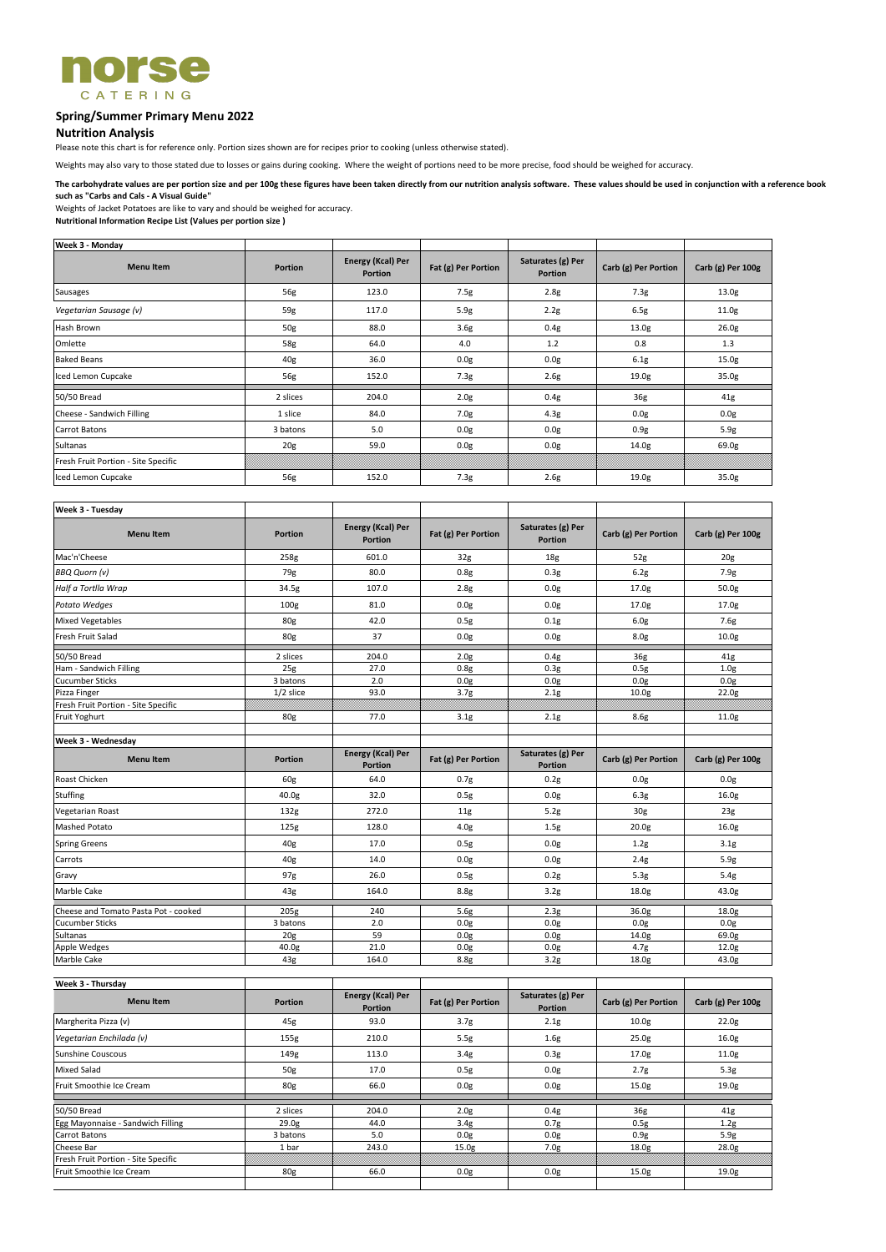

# **Spring/Summer Primary Menu 2022**

## **Nutrition Analysis**

Please note this chart is for reference only. Portion sizes shown are for recipes prior to cooking (unless otherwise stated).

Weights of Jacket Potatoes are like to vary and should be weighed for accuracy.

**Nutritional Information Recipe List (Values per portion size )**

| <b>Week 3 - Monday</b>              |                 |                                     |                     |                                     |                      |                   |
|-------------------------------------|-----------------|-------------------------------------|---------------------|-------------------------------------|----------------------|-------------------|
| <b>Menu Item</b>                    | <b>Portion</b>  | Energy (Kcal) Per<br><b>Portion</b> | Fat (g) Per Portion | Saturates (g) Per<br><b>Portion</b> | Carb (g) Per Portion | Carb (g) Per 100g |
| Sausages                            | 56g             | 123.0                               | 7.5g                | 2.8g                                | 7.3g                 | 13.0g             |
| Vegetarian Sausage (v)              | 59g             | 117.0                               | 5.9g                | 2.2g                                | 6.5g                 | 11.0g             |
| Hash Brown                          | 50g             | 88.0                                | 3.6g                | 0.4g                                | 13.0 <sub>g</sub>    | 26.0 <sub>g</sub> |
| Omlette                             | 58g             | 64.0                                | 4.0                 | 1.2                                 | 0.8                  | 1.3               |
| <b>Baked Beans</b>                  | 40g             | 36.0                                | 0.0g                | 0.0g                                | 6.1g                 | 15.0g             |
| Iced Lemon Cupcake                  | 56g             | 152.0                               | 7.3g                | 2.6g                                | 19.0g                | 35.0g             |
| 50/50 Bread                         | 2 slices        | 204.0                               | 2.0 <sub>g</sub>    | 0.4g                                | 36g                  | 41g               |
| Cheese - Sandwich Filling           | 1 slice         | 84.0                                | 7.0g                | 4.3g                                | 0.0g                 | 0.0 <sub>g</sub>  |
| <b>Carrot Batons</b>                | 3 batons        | 5.0                                 | 0.0g                | 0.0g                                | 0.9g                 | 5.9g              |
| Sultanas                            | 20 <sub>g</sub> | 59.0                                | 0.0g                | 0.0g                                | 14.0g                | 69.0g             |
| Fresh Fruit Portion - Site Specific |                 |                                     |                     |                                     |                      |                   |
| Iced Lemon Cupcake                  | 56g             | 152.0                               | 7.3g                | 2.6g                                | 19.0 <sub>g</sub>    | 35.0g             |

| Week 3 - Tuesday                     |                 |                                            |                     |                                     |                      |                   |
|--------------------------------------|-----------------|--------------------------------------------|---------------------|-------------------------------------|----------------------|-------------------|
| <b>Menu Item</b>                     | <b>Portion</b>  | <b>Energy (Kcal) Per</b><br><b>Portion</b> | Fat (g) Per Portion | Saturates (g) Per<br><b>Portion</b> | Carb (g) Per Portion | Carb (g) Per 100g |
| Mac'n'Cheese                         | 258g            | 601.0                                      | 32g                 | 18 <sub>g</sub>                     | 52g                  | 20 <sub>g</sub>   |
| <b>BBQ Quorn (v)</b>                 | 79g             | 80.0                                       | 0.8g                | 0.3g                                | 6.2g                 | 7.9g              |
| Half a Tortlla Wrap                  | 34.5g           | 107.0                                      | 2.8g                | 0.0g                                | 17.0 <sub>g</sub>    | 50.0g             |
| Potato Wedges                        | 100g            | 81.0                                       | 0.0g                | 0.0g                                | 17.0g                | 17.0g             |
| <b>Mixed Vegetables</b>              | 80g             | 42.0                                       | 0.5g                | 0.1g                                | 6.0g                 | 7.6g              |
| Fresh Fruit Salad                    | 80g             | 37                                         | 0.0g                | 0.0g                                | 8.0 <sub>g</sub>     | 10.0g             |
| 50/50 Bread                          | 2 slices        | 204.0                                      | 2.0 <sub>g</sub>    | 0.4g                                | 36g                  | 41g               |
| Ham - Sandwich Filling               | 25g             | 27.0                                       | 0.8g                | 0.3g                                | 0.5g                 | 1.0 <sub>g</sub>  |
| <b>Cucumber Sticks</b>               | 3 batons        | 2.0                                        | 0.0g                | 0.0g                                | 0.0g                 | 0.0g              |
| Pizza Finger                         | $1/2$ slice     | 93.0                                       | 3.7 <sub>g</sub>    | 2.1g                                | 10.0 <sub>g</sub>    | 22.0g             |
| Fresh Fruit Portion - Site Specific  |                 |                                            |                     |                                     |                      |                   |
| Fruit Yoghurt                        | 80g             | 77.0                                       | 3.1g                | 2.1g                                | 8.6g                 | 11.0g             |
| Week 3 - Wednesday                   |                 |                                            |                     |                                     |                      |                   |
| <b>Menu Item</b>                     | <b>Portion</b>  | <b>Energy (Kcal) Per</b><br><b>Portion</b> | Fat (g) Per Portion | Saturates (g) Per<br><b>Portion</b> | Carb (g) Per Portion | Carb (g) Per 100g |
| Roast Chicken                        | 60g             | 64.0                                       | 0.7 <sub>g</sub>    | 0.2g                                | 0.0 <sub>g</sub>     | 0.0 <sub>g</sub>  |
| Stuffing                             | 40.0g           | 32.0                                       | 0.5g                | 0.0g                                | 6.3g                 | 16.0g             |
| Vegetarian Roast                     | 132g            | 272.0                                      | 11g                 | 5.2g                                | 30 <sub>g</sub>      | 23g               |
| <b>Mashed Potato</b>                 | 125g            | 128.0                                      | 4.0 <sub>g</sub>    | 1.5 <sub>g</sub>                    | 20.0 <sub>g</sub>    | 16.0g             |
| <b>Spring Greens</b>                 | 40g             | 17.0                                       | 0.5g                | 0.0g                                | 1.2g                 | 3.1 <sub>g</sub>  |
| Carrots                              | 40g             | 14.0                                       | 0.0g                | 0.0g                                | 2.4g                 | 5.9g              |
| Gravy                                | 97g             | 26.0                                       | 0.5g                | 0.2g                                | 5.3g                 | 5.4g              |
| Marble Cake                          | 43g             | 164.0                                      | 8.8g                | 3.2g                                | 18.0g                | 43.0g             |
| Cheese and Tomato Pasta Pot - cooked | 205g            | 240                                        | 5.6g                | 2.3g                                | 36.0g                | 18.0g             |
| <b>Cucumber Sticks</b>               | 3 batons        | 2.0                                        | 0.0 <sub>g</sub>    | 0.0 <sub>g</sub>                    | 0.0 <sub>g</sub>     | 0.0g              |
| Sultanas                             | 20 <sub>g</sub> | 59                                         | 0.0 <sub>g</sub>    | 0.0 <sub>g</sub>                    | 14.0g                | 69.0g             |
| Apple Wedges                         | 40.0g           | 21.0                                       | 0.0g                | 0.0g                                | 4.7g                 | 12.0g             |
| Marble Cake                          | $43g$           | 164.0                                      | 8.8g                | 3.2g                                | 18.0g                | 43.0g             |

| Week 3 - Thursday                   |                   |                                     |                     |                                     |                      |                   |
|-------------------------------------|-------------------|-------------------------------------|---------------------|-------------------------------------|----------------------|-------------------|
| <b>Menu Item</b>                    | <b>Portion</b>    | Energy (Kcal) Per<br><b>Portion</b> | Fat (g) Per Portion | Saturates (g) Per<br><b>Portion</b> | Carb (g) Per Portion | Carb (g) Per 100g |
| Margherita Pizza (v)                | 45g               | 93.0                                | 3.7 <sub>g</sub>    | 2.1g                                | 10.0 <sub>g</sub>    | 22.0 <sub>g</sub> |
| Vegetarian Enchilada (v)            | 155g              | 210.0                               | 5.5g                | 1.6g                                | 25.0g                | 16.0 <sub>g</sub> |
| Sunshine Couscous                   | 149g              | 113.0                               | 3.4g                | 0.3 <sub>g</sub>                    | 17.0g                | 11.0g             |
| <b>Mixed Salad</b>                  | 50g               | 17.0                                | 0.5g                | 0.0 <sub>g</sub>                    | 2.7g                 | 5.3g              |
| Fruit Smoothie Ice Cream            | 80g               | 66.0                                | 0.0 <sub>g</sub>    | 0.0 <sub>g</sub>                    | 15.0 <sub>g</sub>    | 19.0 <sub>g</sub> |
|                                     |                   |                                     |                     |                                     |                      |                   |
| 50/50 Bread                         | 2 slices          | 204.0                               | 2.0 <sub>g</sub>    | 0.4g                                | 36g                  | 41g               |
| Egg Mayonnaise - Sandwich Filling   | 29.0 <sub>g</sub> | 44.0                                | 3.4g                | 0.7 <sub>g</sub>                    | 0.5g                 | 1.2g              |
| <b>Carrot Batons</b>                | 3 batons          | 5.0                                 | 0.0 <sub>g</sub>    | 0.0 <sub>g</sub>                    | 0.9 <sub>g</sub>     | 5.9g              |
| Cheese Bar                          | 1 bar             | 243.0                               | 15.0 <sub>g</sub>   | 7.0 <sub>g</sub>                    | 18.0 <sub>g</sub>    | 28.0 <sub>g</sub> |
| Fresh Fruit Portion - Site Specific |                   |                                     |                     |                                     |                      |                   |
| Fruit Smoothie Ice Cream            | 80 <sub>g</sub>   | 66.0                                | 0.0 <sub>g</sub>    | 0.0g                                | 15.0 <sub>g</sub>    | 19.0 <sub>g</sub> |
|                                     |                   |                                     |                     |                                     |                      |                   |

Weights may also vary to those stated due to losses or gains during cooking. Where the weight of portions need to be more precise, food should be weighed for accuracy.

**The carbohydrate values are per portion size and per 100g these figures have been taken directly from our nutrition analysis software. These values should be used in conjunction with a reference book such as "Carbs and Cals - A Visual Guide"**